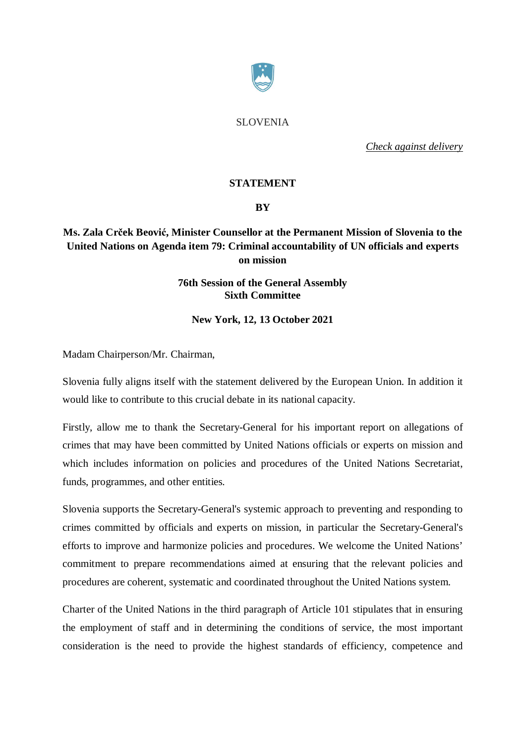

SLOVENIA

*Check against delivery*

## **STATEMENT**

## **BY**

# **Ms. Zala Crček Beović, Minister Counsellor at the Permanent Mission of Slovenia to the United Nations on Agenda item 79: Criminal accountability of UN officials and experts on mission**

## **76th Session of the General Assembly Sixth Committee**

**New York, 12, 13 October 2021**

Madam Chairperson/Mr. Chairman,

Slovenia fully aligns itself with the statement delivered by the European Union. In addition it would like to contribute to this crucial debate in its national capacity.

Firstly, allow me to thank the Secretary-General for his important report on allegations of crimes that may have been committed by United Nations officials or experts on mission and which includes information on policies and procedures of the United Nations Secretariat, funds, programmes, and other entities.

Slovenia supports the Secretary-General's systemic approach to preventing and responding to crimes committed by officials and experts on mission, in particular the Secretary-General's efforts to improve and harmonize policies and procedures. We welcome the United Nations' commitment to prepare recommendations aimed at ensuring that the relevant policies and procedures are coherent, systematic and coordinated throughout the United Nations system.

Charter of the United Nations in the third paragraph of Article 101 stipulates that in ensuring the employment of staff and in determining the conditions of service, the most important consideration is the need to provide the highest standards of efficiency, competence and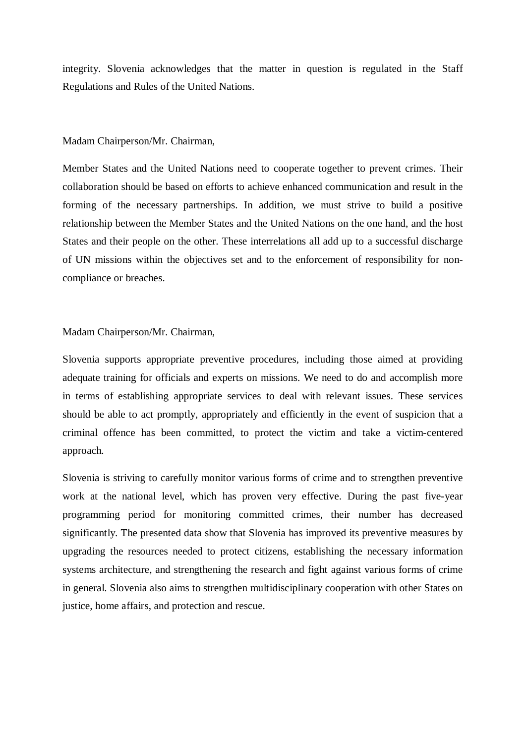integrity. Slovenia acknowledges that the matter in question is regulated in the Staff Regulations and Rules of the United Nations.

### Madam Chairperson/Mr. Chairman,

Member States and the United Nations need to cooperate together to prevent crimes. Their collaboration should be based on efforts to achieve enhanced communication and result in the forming of the necessary partnerships. In addition, we must strive to build a positive relationship between the Member States and the United Nations on the one hand, and the host States and their people on the other. These interrelations all add up to a successful discharge of UN missions within the objectives set and to the enforcement of responsibility for noncompliance or breaches.

#### Madam Chairperson/Mr. Chairman,

Slovenia supports appropriate preventive procedures, including those aimed at providing adequate training for officials and experts on missions. We need to do and accomplish more in terms of establishing appropriate services to deal with relevant issues. These services should be able to act promptly, appropriately and efficiently in the event of suspicion that a criminal offence has been committed, to protect the victim and take a victim-centered approach.

Slovenia is striving to carefully monitor various forms of crime and to strengthen preventive work at the national level, which has proven very effective. During the past five-year programming period for monitoring committed crimes, their number has decreased significantly. The presented data show that Slovenia has improved its preventive measures by upgrading the resources needed to protect citizens, establishing the necessary information systems architecture, and strengthening the research and fight against various forms of crime in general. Slovenia also aims to strengthen multidisciplinary cooperation with other States on justice, home affairs, and protection and rescue.